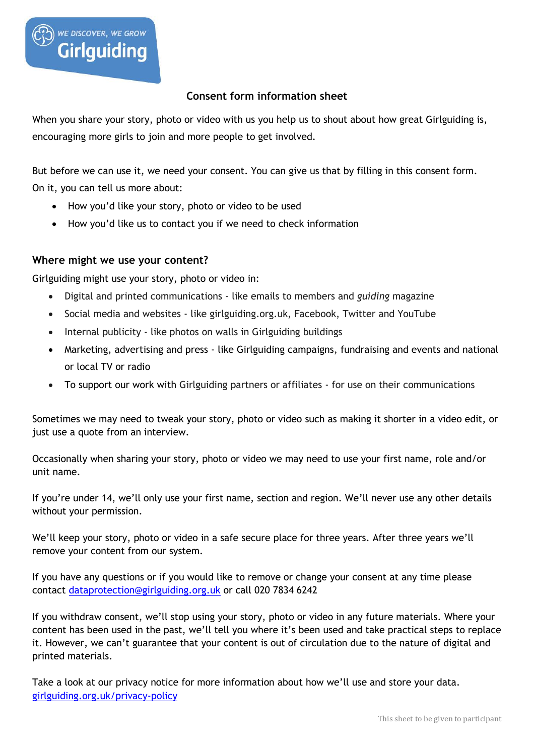

## **Consent form information sheet**

When you share your story, photo or video with us you help us to shout about how great Girlguiding is, encouraging more girls to join and more people to get involved.

But before we can use it, we need your consent. You can give us that by filling in this consent form. On it, you can tell us more about:

- How you'd like your story, photo or video to be used
- How you'd like us to contact you if we need to check information

## **Where might we use your content?**

Girlguiding might use your story, photo or video in:

- Digital and printed communications like emails to members and *guiding* magazine
- Social media and websites like girlguiding.org.uk, Facebook, Twitter and YouTube
- Internal publicity like photos on walls in Girlguiding buildings
- Marketing, advertising and press like Girlguiding campaigns, fundraising and events and national or local TV or radio
- To support our work with Girlguiding partners or affiliates for use on their communications

Sometimes we may need to tweak your story, photo or video such as making it shorter in a video edit, or just use a quote from an interview.

Occasionally when sharing your story, photo or video we may need to use your first name, role and/or unit name.

If you're under 14, we'll only use your first name, section and region. We'll never use any other details without your permission.

We'll keep your story, photo or video in a safe secure place for three years. After three years we'll remove your content from our system.

If you have any questions or if you would like to remove or change your consent at any time please contact [dataprotection@girlguiding.org.uk](mailto:dataprotection@girlguiding.org.uk) or call 020 7834 6242

If you withdraw consent, we'll stop using your story, photo or video in any future materials. Where your content has been used in the past, we'll tell you where it's been used and take practical steps to replace it. However, we can't guarantee that your content is out of circulation due to the nature of digital and printed materials.

Take a look at our privacy notice for more information about how we'll use and store your data. [girlguiding.org.uk/privacy-policy](http://www.girlguiding.org.uk/privacy-policy)